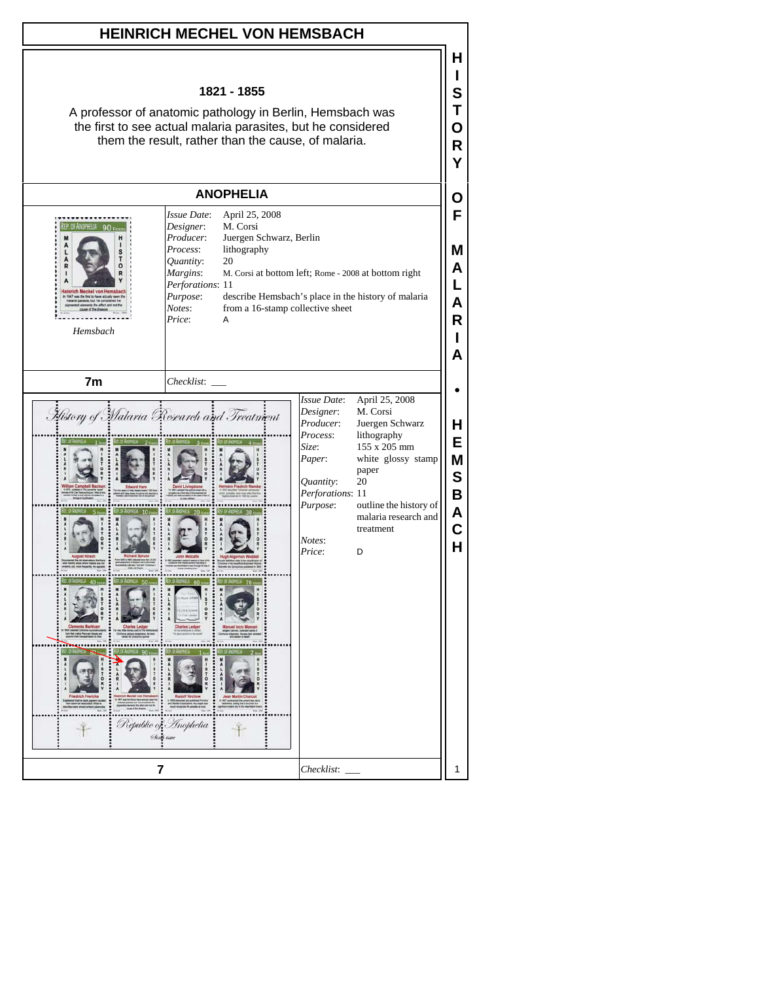